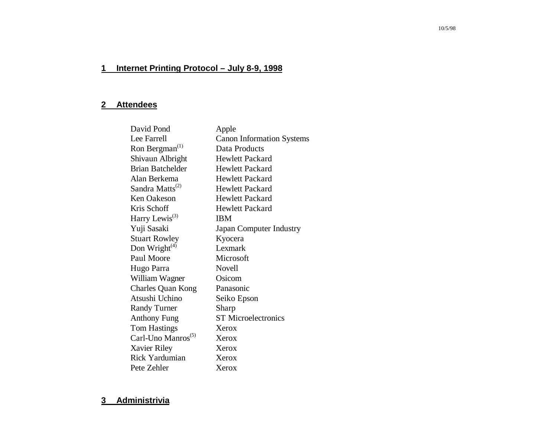# **1 Internet Printing Protocol – July 8-9, 1998**

# **2 Attendees**

| David Pond                     | Apple                            |
|--------------------------------|----------------------------------|
| Lee Farrell                    | <b>Canon Information Systems</b> |
| Ron Bergman <sup>(1)</sup>     | Data Products                    |
| Shivaun Albright               | <b>Hewlett Packard</b>           |
| <b>Brian Batchelder</b>        | Hewlett Packard                  |
| Alan Berkema                   | <b>Hewlett Packard</b>           |
| Sandra Matts <sup>(2)</sup>    | <b>Hewlett Packard</b>           |
| Ken Oakeson                    | <b>Hewlett Packard</b>           |
| Kris Schoff                    | <b>Hewlett Packard</b>           |
| Harry Lewis <sup>(3)</sup>     | <b>IBM</b>                       |
| Yuji Sasaki                    | Japan Computer Industry          |
| <b>Stuart Rowley</b>           | Kyocera                          |
| Don Wright $(4)$               | Lexmark                          |
| Paul Moore                     | Microsoft                        |
| Hugo Parra                     | <b>Novell</b>                    |
| William Wagner                 | Osicom                           |
| <b>Charles Quan Kong</b>       | Panasonic                        |
| Atsushi Uchino                 | Seiko Epson                      |
| <b>Randy Turner</b>            | Sharp                            |
| <b>Anthony Fung</b>            | <b>ST</b> Microelectronics       |
| <b>Tom Hastings</b>            | Xerox                            |
| Carl-Uno Manros <sup>(5)</sup> | Xerox                            |
| Xavier Riley                   | Xerox                            |
| <b>Rick Yardumian</b>          | Xerox                            |
| Pete Zehler                    | Xerox                            |

## **3 Administrivia**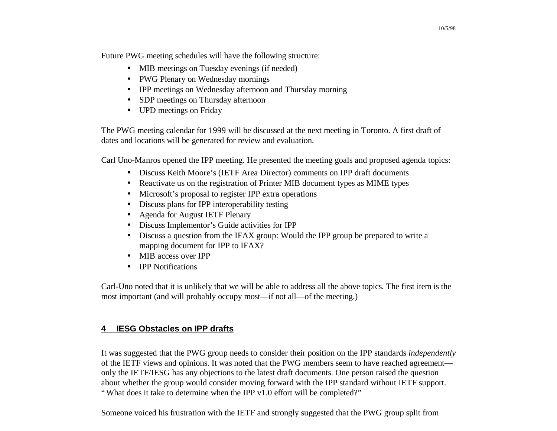Future PWG meeting schedules will have the following structure:

- MIB meetings on Tuesday evenings (if needed)
- PWG Plenary on Wednesday mornings
- IPP meetings on Wednesday afternoon and Thursday morning
- SDP meetings on Thursday afternoon
- UPD meetings on Friday

The PWG meeting calendar for 1999 will be discussed at the next meeting in Toronto. A first draft of dates and locations will be generated for review and evaluation.

Carl Uno-Manros opened the IPP meeting. He presented the meeting goals and proposed agenda topics:

- Discuss Keith Moore's (IETF Area Director) comments on IPP draft documents
- Reactivate us on the registration of Printer MIB document types as MIME types
- Microsoft's proposal to register IPP extra operations
- Discuss plans for IPP interoperability testing
- Agenda for August IETF Plenary
- Discuss Implementor's Guide activities for IPP
- Discuss a question from the IFAX group: Would the IPP group be prepared to write a mapping document for IPP to IFAX?
- MIB access over IPP
- **IPP Notifications**

Carl-Uno noted that it is unlikely that we will be able to address all the above topics. The first item is the most important (and will probably occupy most—if not all—of the meeting.)

# **4 IESG Obstacles on IPP drafts**

It was suggested that the PWG group needs to consider their position on the IPP standards *independently* of the IETF views and opinions. It was noted that the PWG members seem to have reached agreement only the IETF/IESG has any objections to the latest draft documents. One person raised the question about whether the group would consider moving forward with the IPP standard without IETF support. "What does it take to determine when the IPP v1.0 effort will be completed?"

Someone voiced his frustration with the IETF and strongly suggested that the PWG group split from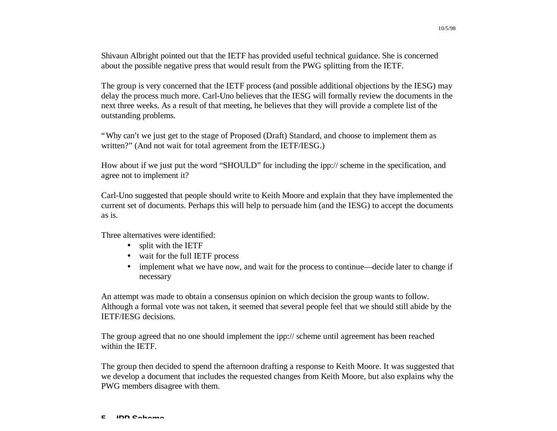Shivaun Albright pointed out that the IETF has provided useful technical guidance. She is concerned about the possible negative press that would result from the PWG splitting from the IETF.

The group is very concerned that the IETF process (and possible additional objections by the IESG) may delay the process much more. Carl-Uno believes that the IESG will formally review the documents in the next three weeks. As a result of that meeting, he believes that they will provide a complete list of the outstanding problems.

"Why can't we just get to the stage of Proposed (Draft) Standard, and choose to implement them as written?" (And not wait for total agreement from the IETF/IESG.)

How about if we just put the word "SHOULD" for including the ipp:// scheme in the specification, and agree not to implement it?

Carl-Uno suggested that people should write to Keith Moore and explain that they have implemented the current set of documents. Perhaps this will help to persuade him (and the IESG) to accept the documents as is.

Three alternatives were identified:

- split with the IETF
- wait for the full IETF process
- implement what we have now, and wait for the process to continue—decide later to change if necessary

An attempt was made to obtain a consensus opinion on which decision the group wants to follow. Although a formal vote was not taken, it seemed that several people feel that we should still abide by the IETF/IESG decisions.

The group agreed that no one should implement the ipp:// scheme until agreement has been reached within the IETF.

The group then decided to spend the afternoon drafting a response to Keith Moore. It was suggested that we develop a document that includes the requested changes from Keith Moore, but also explains why the PWG members disagree with them.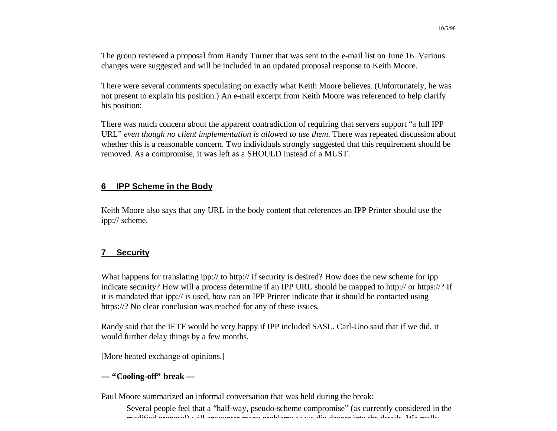The group reviewed a proposal from Randy Turner that was sent to the e-mail list on June 16. Various changes were suggested and will be included in an updated proposal response to Keith Moore.

There were several comments speculating on exactly what Keith Moore believes. (Unfortunately, he was not present to explain his position.) An e-mail excerpt from Keith Moore was referenced to help clarify his position:

There was much concern about the apparent contradiction of requiring that servers support "a full IPP URL" *even though no client implementation is allowed to use them*. There was repeated discussion about whether this is a reasonable concern. Two individuals strongly suggested that this requirement should be removed. As a compromise, it was left as a SHOULD instead of a MUST.

#### **6 IPP Scheme in the Body**

Keith Moore also says that any URL in the body content that references an IPP Printer should use the ipp:// scheme.

## **7 Security**

What happens for translating ipp:// to http:// if security is desired? How does the new scheme for ipp indicate security? How will a process determine if an IPP URL should be mapped to http:// or https://? If it is mandated that ipp:// is used, how can an IPP Printer indicate that it should be contacted using https://? No clear conclusion was reached for any of these issues.

Randy said that the IETF would be very happy if IPP included SASL. Carl-Uno said that if we did, it would further delay things by a few months.

[More heated exchange of opinions.]

#### **--- "Cooling-off" break ---**

Paul Moore summarized an informal conversation that was held during the break:

Several people feel that a "half-way, pseudo-scheme compromise" (as currently considered in the modified proposal) will encounter many problems as we dig deeper into the details. We really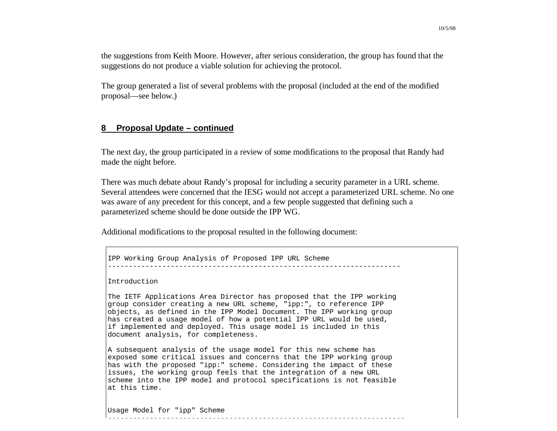the suggestions from Keith Moore. However, after serious consideration, the group has found that the suggestions do not produce a viable solution for achieving the protocol.

The group generated a list of several problems with the proposal (included at the end of the modified proposal— see below.)

#### **8 Proposal Update – continued**

The next day, the group participated in a review of some modifications to the proposal that Randy had made the night before.

There was much debate about Randy's proposal for including a security parameter in a URL scheme. Several attendees were concerned that the IESG would not accept a parameterized URL scheme. No one was aware of any precedent for this concept, and a few people suggested that defining such a parameterized scheme should be done outside the IPP WG.

Additional modifications to the proposal resulted in the following document:

```
IPP Working Group Analysis of Proposed IPP URL Scheme
```
Introduction

The IETF Applications Area Director has proposed that the IPP working group consider creating a new URL scheme, "ipp:", to reference IPP objects, as defined in the IPP Model Document. The IPP working group has created a usage model of how a potential IPP URL would be used, if implemented and deployed. This usage model is included in this document analysis, for completeness.

----------------------------------------------------------------------

A subsequent analysis of the usage model for this new scheme has exposed some critical issues and concerns that the IPP working group has with the proposed "ipp:" scheme. Considering the impact of these issues, the working group feels that the integration of a new URL scheme into the IPP model and protocol specifications is not feasible at this time.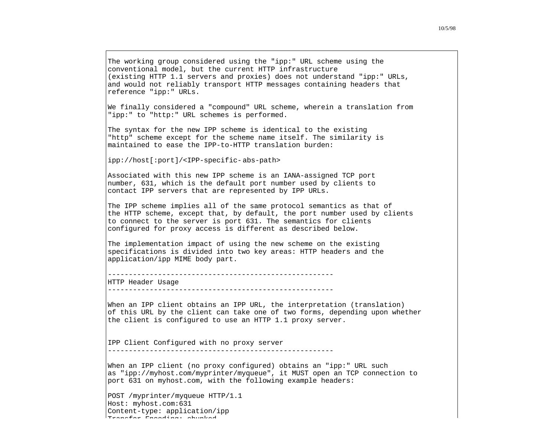The working group considered using the "ipp:" URL scheme using the conventional model, but the current HTTP infrastructure (existing HTTP 1.1 servers and proxies) does not understand "ipp:" URLs, and would not reliably transport HTTP messages containing headers that reference "ipp:" URLs.

We finally considered a "compound" URL scheme, wherein a translation from "ipp:" to "http:" URL schemes is performed.

The syntax for the new IPP scheme is identical to the existing "http" scheme except for the scheme name itself. The similarity is maintained to ease the IPP-to-HTTP translation burden:

ipp://host[:port]/<IPP-specific- abs-path>

Associated with this new IPP scheme is an IANA-assigned TCP port number, 631, which is the default port number used by clients to contact IPP servers that are represented by IPP URLs.

The IPP scheme implies all of the same protocol semantics as that of the HTTP scheme, except that, by default, the port number used by clients to connect to the server is port 631. The semantics for clients configured for proxy access is different as described below.

The implementation impact of using the new scheme on the existing specifications is divided into two key areas: HTTP headers and the application/ipp MIME body part.

HTTP Header Usage

------------------------------------------------------

When an IPP client obtains an IPP URL, the interpretation (translation) of this URL by the client can take one of two forms, depending upon whether the client is configured to use an HTTP 1.1 proxy server.

IPP Client Configured with no proxy server

When an IPP client (no proxy configured) obtains an "ipp:" URL such as "ipp://myhost.com/myprinter/myqueue", it MUST open an TCP connection to port 631 on myhost.com, with the following example headers:

POST /myprinter/myqueue HTTP/1.1 Host: myhost.com:631 Content-type: application/ipp Transfer-Encoding: chunked

<sup>------------------------------------------------------</sup>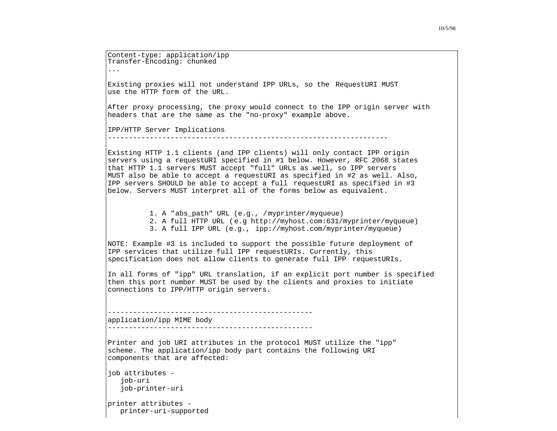Content-type: application/ipp Transfer-Encoding: chunked ... Existing proxies will not understand IPP URLs, so the RequestURI MUST use the HTTP form of the URL. After proxy processing, the proxy would connect to the IPP origin server with headers that are the same as the "no-proxy" example above. IPP/HTTP Server Implications Existing HTTP 1.1 clients (and IPP clients) will only contact IPP origin servers using a requestURI specified in #1 below. However, RFC 2068 states that HTTP 1.1 servers MUST accept "full" URLs as well, so IPP servers MUST also be able to accept a requestURI as specified in #2 as well. Also, IPP servers SHOULD be able to accept a full requestURI as specified in #3 below. Servers MUST interpret all of the forms below as equivalent. 1. A "abs\_path" URL (e.g., /myprinter/myqueue) 2. A full HTTP URL (e.g http://myhost.com:631/myprinter/myqueue) 3. A full IPP URL (e.g., ipp://myhost.com/myprinter/myqueue) NOTE: Example #3 is included to support the possible future deployment of IPP services that utilize full IPP requestURIs. Currently, this specification does not allow clients to generate full IPP requestURIs. In all forms of "ipp" URL translation, if an explicit port number is specified then this port number MUST be used by the clients and proxies to initiate connections to IPP/HTTP origin servers. application/ipp MIME body ------------------------------------------------- Printer and job URI attributes in the protocol MUST utilize the "ipp" scheme. The application/ipp body part contains the following URI components that are affected: job attributes job-uri job-printer-uri printer attributes printer-uri-supported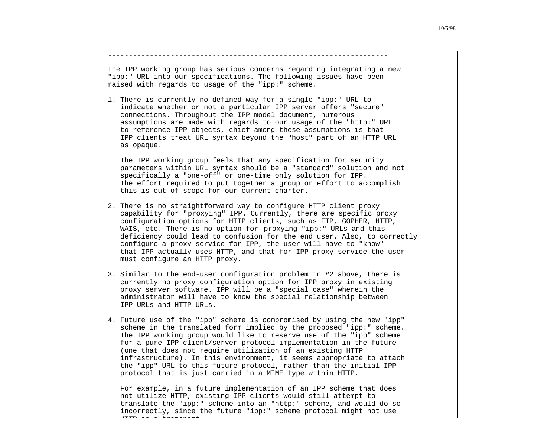The IPP working group has serious concerns regarding integrating a new "ipp:" URL into our specifications. The following issues have been raised with regards to usage of the "ipp:" scheme.

-------------------------------------------------------------------

1. There is currently no defined way for a single "ipp:" URL to indicate whether or not a particular IPP server offers "secure" connections. Throughout the IPP model document, numerous assumptions are made with regards to our usage of the "http:" URL to reference IPP objects, chief among these assumptions is that IPP clients treat URL syntax beyond the "host" part of an HTTP URL as opaque.

 The IPP working group feels that any specification for security parameters within URL syntax should be a "standard" solution and not specifically a "one-off" or one-time only solution for IPP. The effort required to put together a group or effort to accomplish this is out-of-scope for our current charter.

- 2. There is no straightforward way to configure HTTP client proxy capability for "proxying" IPP. Currently, there are specific proxy configuration options for HTTP clients, such as FTP, GOPHER, HTTP, WAIS, etc. There is no option for proxying "ipp:" URLs and this deficiency could lead to confusion for the end user. Also, to correctly configure a proxy service for IPP, the user will have to "know" that IPP actually uses HTTP, and that for IPP proxy service the user must configure an HTTP proxy.
- 3. Similar to the end-user configuration problem in #2 above, there is currently no proxy configuration option for IPP proxy in existing proxy server software. IPP will be a "special case" wherein the administrator will have to know the special relationship between IPP URLs and HTTP URLs.
- 4. Future use of the "ipp" scheme is compromised by using the new "ipp" scheme in the translated form implied by the proposed "ipp:" scheme. The IPP working group would like to reserve use of the "ipp" scheme for a pure IPP client/server protocol implementation in the future (one that does not require utilization of an existing HTTP infrastructure). In this environment, it seems appropriate to attach the "ipp" URL to this future protocol, rather than the initial IPP protocol that is just carried in a MIME type within HTTP.

 For example, in a future implementation of an IPP scheme that does not utilize HTTP, existing IPP clients would still attempt to translate the "ipp:" scheme into an "http:" scheme, and would do so incorrectly, since the future "ipp:" scheme protocol might not use HTTP as a transport of the second control of the second control of the second control of the second control of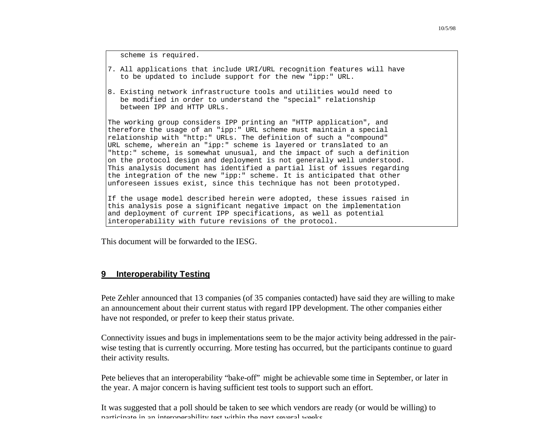scheme is required.

- 7. All applications that include URI/URL recognition features will have to be updated to include support for the new "ipp:" URL.
- 8. Existing network infrastructure tools and utilities would need to be modified in order to understand the "special" relationship between IPP and HTTP URLs.

The working group considers IPP printing an "HTTP application", and therefore the usage of an "ipp:" URL scheme must maintain a special relationship with "http:" URLs. The definition of such a "compound" URL scheme, wherein an "ipp:" scheme is layered or translated to an "http:" scheme, is somewhat unusual, and the impact of such a definition on the protocol design and deployment is not generally well understood. This analysis document has identified a partial list of issues regarding the integration of the new "ipp:" scheme. It is anticipated that other unforeseen issues exist, since this technique has not been prototyped.

If the usage model described herein were adopted, these issues raised in this analysis pose a significant negative impact on the implementation and deployment of current IPP specifications, as well as potential interoperability with future revisions of the protocol.

This document will be forwarded to the IESG.

#### **9 Interoperability Testing**

Pete Zehler announced that 13 companies (of 35 companies contacted) have said they are willing to make an announcement about their current status with regard IPP development. The other companies either have not responded, or prefer to keep their status private.

Connectivity issues and bugs in implementations seem to be the major activity being addressed in the pairwise testing that is currently occurring. More testing has occurred, but the participants continue to guard their activity results.

Pete believes that an interoperability "bake-off" might be achievable some time in September, or later in the year. A major concern is having sufficient test tools to support such an effort.

It was suggested that a poll should be taken to see which vendors are ready (or would be willing) to participate in an interoperability test within the next several weeks.